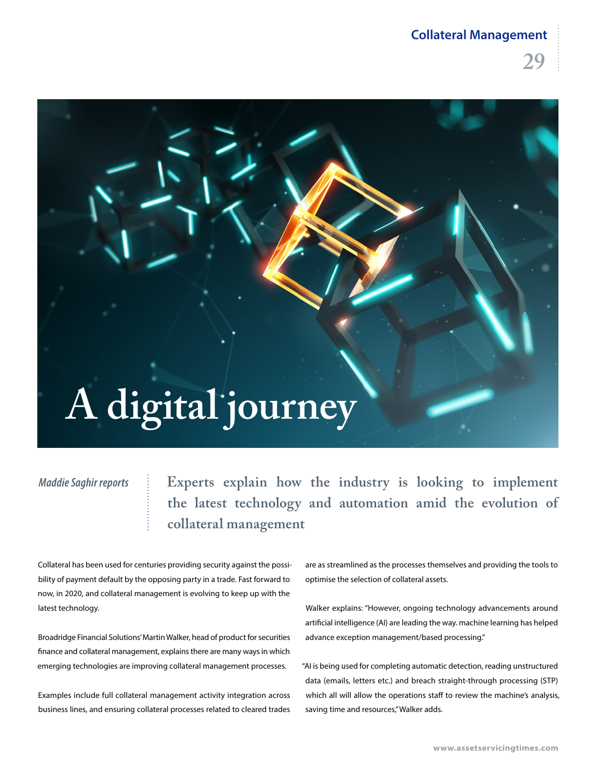#### **Collateral Management**



#### *Maddie Saghir reports*

**Experts explain how the industry is looking to implement the latest technology and automation amid the evolution of collateral management**

Collateral has been used for centuries providing security against the possibility of payment default by the opposing party in a trade. Fast forward to now, in 2020, and collateral management is evolving to keep up with the latest technology.

Broadridge Financial Solutions' Martin Walker, head of product for securities finance and collateral management, explains there are many ways in which emerging technologies are improving collateral management processes.

Examples include full collateral management activity integration across business lines, and ensuring collateral processes related to cleared trades are as streamlined as the processes themselves and providing the tools to optimise the selection of collateral assets.

Walker explains: "However, ongoing technology advancements around artificial intelligence (AI) are leading the way. machine learning has helped advance exception management/based processing."

"AI is being used for completing automatic detection, reading unstructured data (emails, letters etc.) and breach straight-through processing (STP) which all will allow the operations staff to review the machine's analysis, saving time and resources," Walker adds.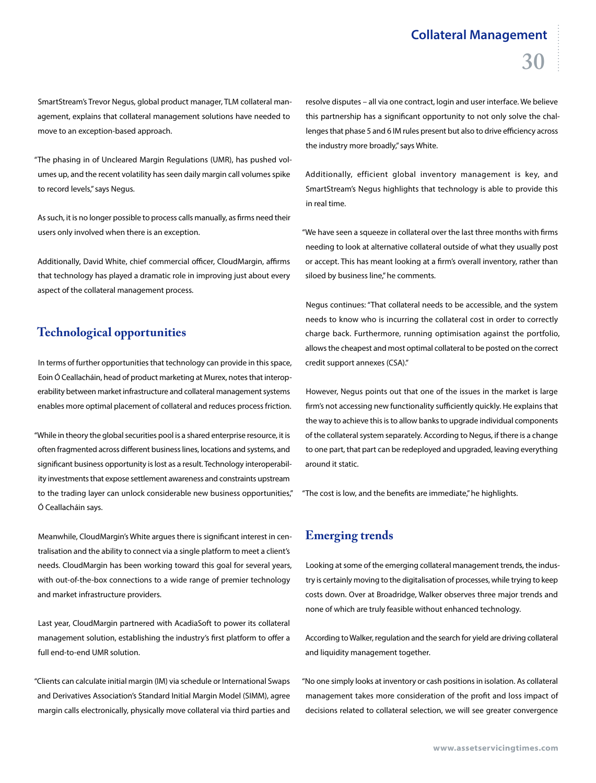### **Collateral Management 30**

SmartStream's Trevor Negus, global product manager, TLM collateral management, explains that collateral management solutions have needed to move to an exception-based approach.

"The phasing in of Uncleared Margin Regulations (UMR), has pushed volumes up, and the recent volatility has seen daily margin call volumes spike to record levels," says Negus.

As such, it is no longer possible to process calls manually, as firms need their users only involved when there is an exception.

Additionally, David White, chief commercial officer, CloudMargin, affirms that technology has played a dramatic role in improving just about every aspect of the collateral management process.

#### **Technological opportunities**

In terms of further opportunities that technology can provide in this space, Eoin Ó Ceallacháin, head of product marketing at Murex, notes that interoperability between market infrastructure and collateral management systems enables more optimal placement of collateral and reduces process friction.

"While in theory the global securities pool is a shared enterprise resource, it is often fragmented across different business lines, locations and systems, and significant business opportunity is lost as a result. Technology interoperability investments that expose settlement awareness and constraints upstream to the trading layer can unlock considerable new business opportunities," Ó Ceallacháin says.

Meanwhile, CloudMargin's White argues there is significant interest in centralisation and the ability to connect via a single platform to meet a client's needs. CloudMargin has been working toward this goal for several years, with out-of-the-box connections to a wide range of premier technology and market infrastructure providers.

Last year, CloudMargin partnered with AcadiaSoft to power its collateral management solution, establishing the industry's first platform to offer a full end-to-end UMR solution.

"Clients can calculate initial margin (IM) via schedule or International Swaps and Derivatives Association's Standard Initial Margin Model (SIMM), agree margin calls electronically, physically move collateral via third parties and

resolve disputes – all via one contract, login and user interface. We believe this partnership has a significant opportunity to not only solve the challenges that phase 5 and 6 IM rules present but also to drive efficiency across the industry more broadly," says White.

Additionally, efficient global inventory management is key, and SmartStream's Negus highlights that technology is able to provide this in real time.

"We have seen a squeeze in collateral over the last three months with firms needing to look at alternative collateral outside of what they usually post or accept. This has meant looking at a firm's overall inventory, rather than siloed by business line," he comments.

Negus continues: "That collateral needs to be accessible, and the system needs to know who is incurring the collateral cost in order to correctly charge back. Furthermore, running optimisation against the portfolio, allows the cheapest and most optimal collateral to be posted on the correct credit support annexes (CSA)."

However, Negus points out that one of the issues in the market is large firm's not accessing new functionality sufficiently quickly. He explains that the way to achieve this is to allow banks to upgrade individual components of the collateral system separately. According to Negus, if there is a change to one part, that part can be redeployed and upgraded, leaving everything around it static.

"The cost is low, and the benefits are immediate," he highlights.

#### **Emerging trends**

Looking at some of the emerging collateral management trends, the industry is certainly moving to the digitalisation of processes, while trying to keep costs down. Over at Broadridge, Walker observes three major trends and none of which are truly feasible without enhanced technology.

According to Walker, regulation and the search for yield are driving collateral and liquidity management together.

"No one simply looks at inventory or cash positions in isolation. As collateral management takes more consideration of the profit and loss impact of decisions related to collateral selection, we will see greater convergence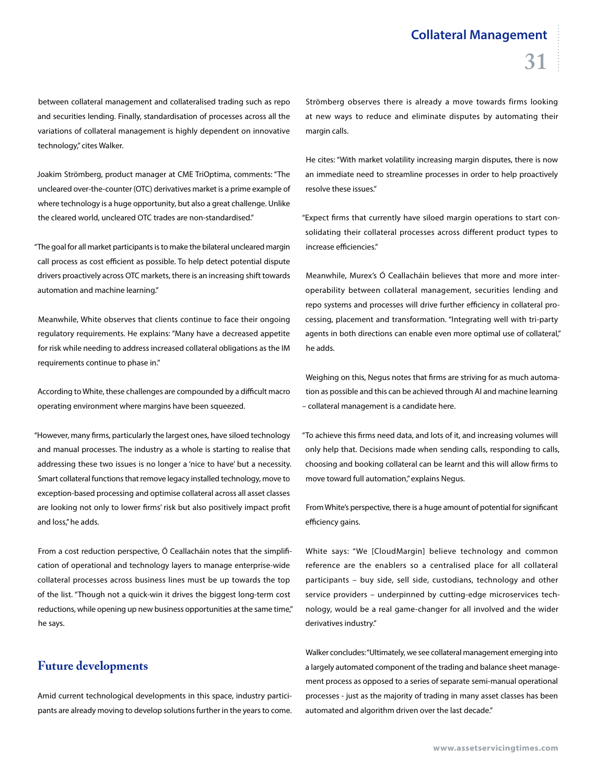between collateral management and collateralised trading such as repo and securities lending. Finally, standardisation of processes across all the variations of collateral management is highly dependent on innovative technology," cites Walker.

Joakim Strömberg, product manager at CME TriOptima, comments: "The uncleared over-the-counter (OTC) derivatives market is a prime example of where technology is a huge opportunity, but also a great challenge. Unlike the cleared world, uncleared OTC trades are non-standardised."

"The goal for all market participants is to make the bilateral uncleared margin call process as cost efficient as possible. To help detect potential dispute drivers proactively across OTC markets, there is an increasing shift towards automation and machine learning."

Meanwhile, White observes that clients continue to face their ongoing regulatory requirements. He explains: "Many have a decreased appetite for risk while needing to address increased collateral obligations as the IM requirements continue to phase in."

According to White, these challenges are compounded by a difficult macro operating environment where margins have been squeezed.

"However, many firms, particularly the largest ones, have siloed technology and manual processes. The industry as a whole is starting to realise that addressing these two issues is no longer a 'nice to have' but a necessity. Smart collateral functions that remove legacy installed technology, move to exception-based processing and optimise collateral across all asset classes are looking not only to lower firms' risk but also positively impact profit and loss," he adds.

From a cost reduction perspective, Ó Ceallacháin notes that the simplification of operational and technology layers to manage enterprise-wide collateral processes across business lines must be up towards the top of the list. "Though not a quick-win it drives the biggest long-term cost reductions, while opening up new business opportunities at the same time," he says.

#### **Future developments**

Amid current technological developments in this space, industry participants are already moving to develop solutions further in the years to come.

Strömberg observes there is already a move towards firms looking at new ways to reduce and eliminate disputes by automating their margin calls.

He cites: "With market volatility increasing margin disputes, there is now an immediate need to streamline processes in order to help proactively resolve these issues."

"Expect firms that currently have siloed margin operations to start consolidating their collateral processes across different product types to increase efficiencies."

Meanwhile, Murex's Ó Ceallacháin believes that more and more interoperability between collateral management, securities lending and repo systems and processes will drive further efficiency in collateral processing, placement and transformation. "Integrating well with tri-party agents in both directions can enable even more optimal use of collateral," he adds.

Weighing on this, Negus notes that firms are striving for as much automation as possible and this can be achieved through AI and machine learning – collateral management is a candidate here.

"To achieve this firms need data, and lots of it, and increasing volumes will only help that. Decisions made when sending calls, responding to calls, choosing and booking collateral can be learnt and this will allow firms to move toward full automation," explains Negus.

From White's perspective, there is a huge amount of potential for significant efficiency gains.

White says: "We [CloudMargin] believe technology and common reference are the enablers so a centralised place for all collateral participants – buy side, sell side, custodians, technology and other service providers – underpinned by cutting-edge microservices technology, would be a real game-changer for all involved and the wider derivatives industry."

Walker concludes: "Ultimately, we see collateral management emerging into a largely automated component of the trading and balance sheet management process as opposed to a series of separate semi-manual operational processes - just as the majority of trading in many asset classes has been automated and algorithm driven over the last decade."